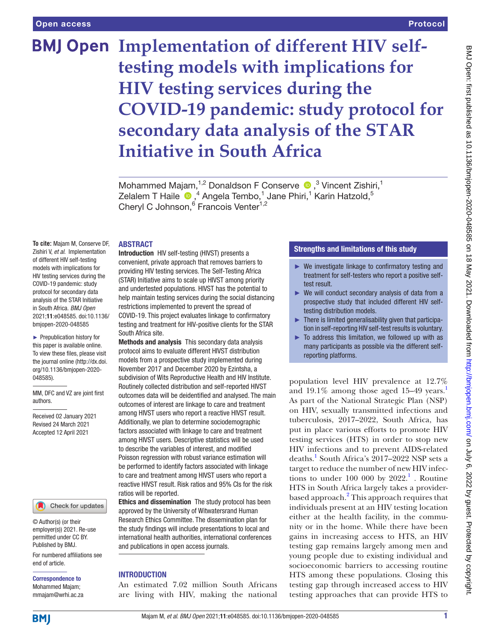# **BMJ Open Implementation of different HIV selftesting models with implications for HIV testing services during the COVID-19 pandemic: study protocol for secondary data analysis of the STAR Initiative in South Africa**

Mohammed Majam,<sup>1,2</sup> Donaldson F Conserve  $\bullet$ ,<sup>3</sup> Vincent Zishiri,<sup>1</sup> Zelalem T Haile  $\, \, \Phi \,$ , $\, ^4$  Angela Tembo, $\, ^1$  Jane Phiri, $\, ^1$  Karin Hatzold, $\, ^5$ Cheryl C Johnson,<sup>6</sup> Francois Venter<sup>1,2</sup>

#### ABSTRACT

**To cite:** Majam M, Conserve DF, Zishiri V, *et al*. Implementation of different HIV self-testing models with implications for HIV testing services during the COVID-19 pandemic: study protocol for secondary data analysis of the STAR Initiative in South Africa. *BMJ Open* 2021;11:e048585. doi:10.1136/ bmjopen-2020-048585

► Prepublication history for this paper is available online. To view these files, please visit the journal online [\(http://dx.doi.](http://dx.doi.org/10.1136/bmjopen-2020-048585) [org/10.1136/bmjopen-2020-](http://dx.doi.org/10.1136/bmjopen-2020-048585) [048585\)](http://dx.doi.org/10.1136/bmjopen-2020-048585).

MM, DFC and VZ are joint first authors.

Received 02 January 2021 Revised 24 March 2021 Accepted 12 April 2021

#### Check for updates

© Author(s) (or their employer(s)) 2021. Re-use permitted under CC BY. Published by BMJ.

For numbered affiliations see end of article.

Correspondence to Mohammed Majam; mmajam@wrhi.ac.za

Introduction HIV self-testing (HIVST) presents a convenient, private approach that removes barriers to providing HIV testing services. The Self-Testing Africa (STAR) Initiative aims to scale up HIVST among priority and undertested populations. HIVST has the potential to help maintain testing services during the social distancing restrictions implemented to prevent the spread of COVID-19. This project evaluates linkage to confirmatory testing and treatment for HIV-positive clients for the STAR South Africa site.

Methods and analysis This secondary data analysis protocol aims to evaluate different HIVST distribution models from a prospective study implemented during November 2017 and December 2020 by Ezintsha, a subdivision of Wits Reproductive Health and HIV Institute. Routinely collected distribution and self-reported HIVST outcomes data will be deidentified and analysed. The main outcomes of interest are linkage to care and treatment among HIVST users who report a reactive HIVST result. Additionally, we plan to determine sociodemographic factors associated with linkage to care and treatment among HIVST users. Descriptive statistics will be used to describe the variables of interest, and modified Poisson regression with robust variance estimation will be performed to identify factors associated with linkage to care and treatment among HIVST users who report a reactive HIVST result. Risk ratios and 95% CIs for the risk ratios will be reported.

Ethics and dissemination The study protocol has been approved by the University of Witwatersrand Human Research Ethics Committee. The dissemination plan for the study findings will include presentations to local and international health authorities, international conferences and publications in open access journals.

# **INTRODUCTION**

An estimated 7.02 million South Africans are living with HIV, making the national

# Strengths and limitations of this study

- ► We investigate linkage to confirmatory testing and treatment for self-testers who report a positive selftest result.
- ► We will conduct secondary analysis of data from a prospective study that included different HIV selftesting distribution models.
- $\blacktriangleright$  There is limited generalisability given that participation in self-reporting HIV self-test results is voluntary.
- ► To address this limitation, we followed up with as many participants as possible via the different selfreporting platforms.

population level HIV prevalence at 12.7% and  $19.1\%$  $19.1\%$  $19.1\%$  among those aged 15–49 years.<sup>1</sup> As part of the National Strategic Plan (NSP) on HIV, sexually transmitted infections and tuberculosis, 2017–2022, South Africa, has put in place various efforts to promote HIV testing services (HTS) in order to stop new HIV infections and to prevent AIDS-related deaths.<sup>[1](#page-6-0)</sup> South Africa's 2017–2022 NSP sets a target to reduce the number of new HIV infections to under  $100000$  by  $2022.<sup>1</sup>$ . Routine HTS in South Africa largely takes a providerbased approach.<sup>2</sup> This approach requires that individuals present at an HIV testing location either at the health facility, in the community or in the home. While there have been gains in increasing access to HTS, an HIV testing gap remains largely among men and young people due to existing individual and socioeconomic barriers to accessing routine HTS among these populations. Closing this testing gap through increased access to HIV testing approaches that can provide HTS to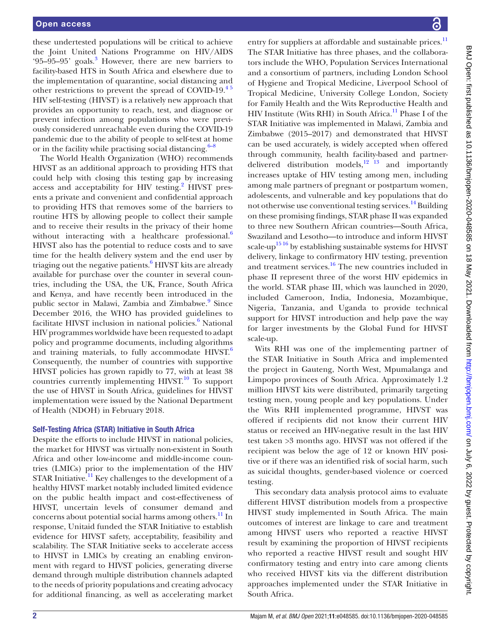these undertested populations will be critical to achieve the Joint United Nations Programme on HIV/AIDS '95-95-95' goals.<sup>3</sup> However, there are new barriers to facility-based HTS in South Africa and elsewhere due to the implementation of quarantine, social distancing and other restrictions to prevent the spread of COVID-19.[4 5](#page-6-3) HIV self-testing (HIVST) is a relatively new approach that provides an opportunity to reach, test, and diagnose or prevent infection among populations who were previously considered unreachable even during the COVID-19 pandemic due to the ability of people to self-test at home or in the facility while practising social distancing. $6-8$ 

The World Health Organization (WHO) recommends HIVST as an additional approach to providing HTS that could help with closing this testing gap by increasing access and acceptability for HIV testing.<sup>[2](#page-6-1)</sup> HIVST presents a private and convenient and confidential approach to providing HTS that removes some of the barriers to routine HTS by allowing people to collect their sample and to receive their results in the privacy of their home without interacting with a healthcare professional. $6$ HIVST also has the potential to reduce costs and to save time for the health delivery system and the end user by triaging out the negative patients.<sup>[6](#page-6-4)</sup> HIVST kits are already available for purchase over the counter in several countries, including the USA, the UK, France, South Africa and Kenya, and have recently been introduced in the public sector in Malawi, Zambia and Zimbabwe.<sup>9</sup> Since December 2016, the WHO has provided guidelines to facilitate HIVST inclusion in national policies.<sup>6</sup> National HIV programmes worldwide have been requested to adapt policy and programme documents, including algorithms and training materials, to fully accommodate  $HIVST^6$  $HIVST^6$ . Consequently, the number of countries with supportive HIVST policies has grown rapidly to 77, with at least 38 countries currently implementing  $HIVST$ <sup>[10](#page-6-6)</sup> To support the use of HIVST in South Africa, guidelines for HIVST implementation were issued by the National Department of Health (NDOH) in February 2018.

## Self-Testing Africa (STAR) Initiative in South Africa

Despite the efforts to include HIVST in national policies, the market for HIVST was virtually non-existent in South Africa and other low-income and middle-income countries (LMICs) prior to the implementation of the HIV STAR Initiative.<sup>[11](#page-6-7)</sup> Key challenges to the development of a healthy HIVST market notably included limited evidence on the public health impact and cost-effectiveness of HIVST, uncertain levels of consumer demand and concerns about potential social harms among others.<sup>[11](#page-6-7)</sup> In response, Unitaid funded the STAR Initiative to establish evidence for HIVST safety, acceptability, feasibility and scalability. The STAR Initiative seeks to accelerate access to HIVST in LMICs by creating an enabling environment with regard to HIVST policies, generating diverse demand through multiple distribution channels adapted to the needs of priority populations and creating advocacy for additional financing, as well as accelerating market

entry for suppliers at affordable and sustainable prices.<sup>[11](#page-6-7)</sup> The STAR Initiative has three phases, and the collaborators include the WHO, Population Services International and a consortium of partners, including London School of Hygiene and Tropical Medicine, Liverpool School of Tropical Medicine, University College London, Society for Family Health and the Wits Reproductive Health and HIV Institute (Wits RHI) in South Africa.<sup>11</sup> Phase I of the STAR Initiative was implemented in Malawi, Zambia and Zimbabwe (2015–2017) and demonstrated that HIVST can be used accurately, is widely accepted when offered through community, health facility-based and partnerdelivered distribution models, $^{12}$   $^{13}$  and importantly increases uptake of HIV testing among men, including among male partners of pregnant or postpartum women, adolescents, and vulnerable and key populations that do not otherwise use conventional testing services.<sup>14</sup> Building on these promising findings, STAR phase II was expanded to three new Southern African countries—South Africa, Swaziland and Lesotho—to introduce and inform HIVST scale-up $^{15}$ <sup>16</sup> by establishing sustainable systems for HIVST delivery, linkage to confirmatory HIV testing, prevention and treatment services.<sup>16</sup> The new countries included in phase II represent three of the worst HIV epidemics in the world. STAR phase III, which was launched in 2020, included Cameroon, India, Indonesia, Mozambique, Nigeria, Tanzania, and Uganda to provide technical support for HIVST introduction and help pave the way for larger investments by the Global Fund for HIVST scale-up.

Wits RHI was one of the implementing partner of the STAR Initiative in South Africa and implemented the project in Gauteng, North West, Mpumalanga and Limpopo provinces of South Africa. Approximately 1.2 million HIVST kits were distributed, primarily targeting testing men, young people and key populations. Under the Wits RHI implemented programme, HIVST was offered if recipients did not know their current HIV status or received an HIV-negative result in the last HIV test taken >3 months ago. HIVST was not offered if the recipient was below the age of 12 or known HIV positive or if there was an identified risk of social harm, such as suicidal thoughts, gender-based violence or coerced testing.

This secondary data analysis protocol aims to evaluate different HIVST distribution models from a prospective HIVST study implemented in South Africa. The main outcomes of interest are linkage to care and treatment among HIVST users who reported a reactive HIVST result by examining the proportion of HIVST recipients who reported a reactive HIVST result and sought HIV confirmatory testing and entry into care among clients who received HIVST kits via the different distribution approaches implemented under the STAR Initiative in South Africa.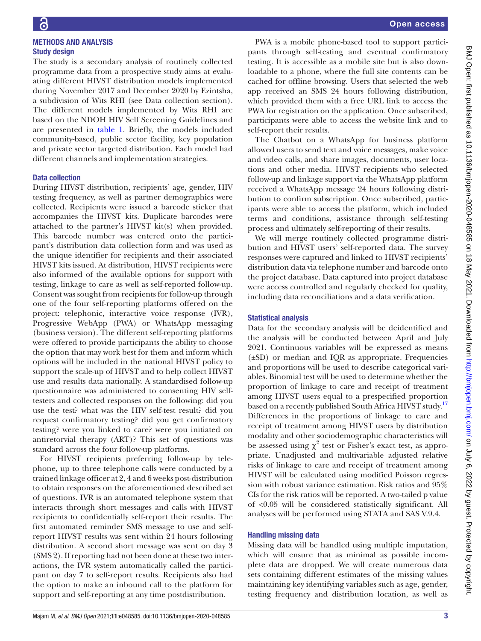METHODS AND ANALYSIS

# Study design The study is a secondary analysis of routinely collected programme data from a prospective study aims at evaluating different HIVST distribution models implemented during November 2017 and December 2020 by Ezintsha, a subdivision of Wits RHI (see Data collection section). The different models implemented by Wits RHI are

based on the NDOH HIV Self Screening Guidelines and are presented in [table](#page-3-0) 1. Briefly, the models included community-based, public sector facility, key population and private sector targeted distribution. Each model had different channels and implementation strategies.

# Data collection

During HIVST distribution, recipients' age, gender, HIV testing frequency, as well as partner demographics were collected. Recipients were issued a barcode sticker that accompanies the HIVST kits. Duplicate barcodes were attached to the partner's HIVST kit(s) when provided. This barcode number was entered onto the participant's distribution data collection form and was used as the unique identifier for recipients and their associated HIVST kits issued. At distribution, HIVST recipients were also informed of the available options for support with testing, linkage to care as well as self-reported follow-up. Consent was sought from recipients for follow-up through one of the four self-reporting platforms offered on the project: telephonic, interactive voice response (IVR), Progressive WebApp (PWA) or WhatsApp messaging (business version). The different self-reporting platforms were offered to provide participants the ability to choose the option that may work best for them and inform which options will be included in the national HIVST policy to support the scale-up of HIVST and to help collect HIVST use and results data nationally. A standardised follow-up questionnaire was administered to consenting HIV selftesters and collected responses on the following: did you use the test? what was the HIV self-test result? did you request confirmatory testing? did you get confirmatory testing? were you linked to care? were you initiated on antiretorvial therapy (ART)? This set of questions was standard across the four follow-up platforms.

For HIVST recipients preferring follow-up by telephone, up to three telephone calls were conducted by a trained linkage officer at 2, 4 and 6 weeks post-distribution to obtain responses on the aforementioned described set of questions. IVR is an automated telephone system that interacts through short messages and calls with HIVST recipients to confidentially self-report their results. The first automated reminder SMS message to use and selfreport HIVST results was sent within 24 hours following distribution. A second short message was sent on day 3 (SMS 2). If reporting had not been done at these two interactions, the IVR system automatically called the participant on day 7 to self-report results. Recipients also had the option to make an inbound call to the platform for support and self-reporting at any time postdistribution.

PWA is a mobile phone-based tool to support participants through self-testing and eventual confirmatory testing. It is accessible as a mobile site but is also downloadable to a phone, where the full site contents can be cached for offline browsing. Users that selected the web app received an SMS 24 hours following distribution, which provided them with a free URL link to access the PWA for registration on the application. Once subscribed, participants were able to access the website link and to self-report their results.

The Chatbot on a WhatsApp for business platform allowed users to send text and voice messages, make voice and video calls, and share images, documents, user locations and other media. HIVST recipients who selected follow-up and linkage support via the WhatsApp platform received a WhatsApp message 24 hours following distribution to confirm subscription. Once subscribed, participants were able to access the platform, which included terms and conditions, assistance through self-testing process and ultimately self-reporting of their results.

We will merge routinely collected programme distribution and HIVST users' self-reported data. The survey responses were captured and linked to HIVST recipients' distribution data via telephone number and barcode onto the project database. Data captured into project database were access controlled and regularly checked for quality, including data reconciliations and a data verification.

# Statistical analysis

Data for the secondary analysis will be deidentified and the analysis will be conducted between April and July 2021. Continuous variables will be expressed as means (±SD) or median and IQR as appropriate. Frequencies and proportions will be used to describe categorical variables. Binomial test will be used to determine whether the proportion of linkage to care and receipt of treatment among HIVST users equal to a prespecified proportion based on a recently published South Africa HIVST study.<sup>[17](#page-6-12)</sup> Differences in the proportions of linkage to care and receipt of treatment among HIVST users by distribution modality and other sociodemographic characteristics will be assessed using  $\chi^2$  test or Fisher's exact test, as appropriate. Unadjusted and multivariable adjusted relative risks of linkage to care and receipt of treatment among HIVST will be calculated using modified Poisson regression with robust variance estimation. Risk ratios and 95% CIs for the risk ratios will be reported. A two-tailed p value of <0.05 will be considered statistically significant. All analyses will be performed using STATA and SAS V.9.4.

## Handling missing data

Missing data will be handled using multiple imputation, which will ensure that as minimal as possible incomplete data are dropped. We will create numerous data sets containing different estimates of the missing values maintaining key identifying variables such as age, gender, testing frequency and distribution location, as well as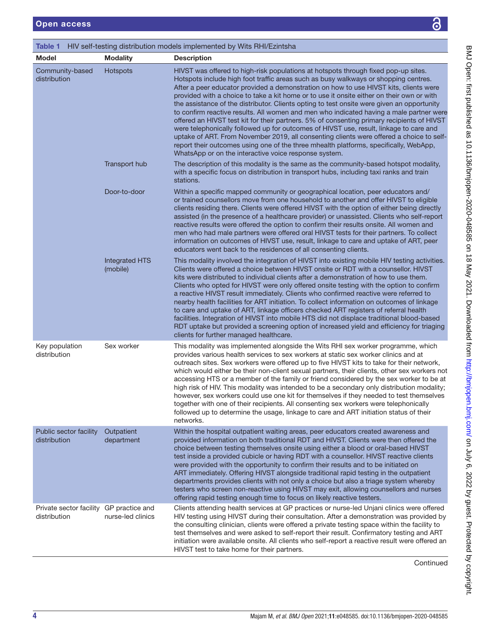<span id="page-3-0"></span>

| HIV self-testing distribution models implemented by Wits RHI/Ezintsha<br>Table 1 |                                   |                                                                                                                                                                                                                                                                                                                                                                                                                                                                                                                                                                                                                                                                                                                                                                                                                                                                                                                                                                                                |  |
|----------------------------------------------------------------------------------|-----------------------------------|------------------------------------------------------------------------------------------------------------------------------------------------------------------------------------------------------------------------------------------------------------------------------------------------------------------------------------------------------------------------------------------------------------------------------------------------------------------------------------------------------------------------------------------------------------------------------------------------------------------------------------------------------------------------------------------------------------------------------------------------------------------------------------------------------------------------------------------------------------------------------------------------------------------------------------------------------------------------------------------------|--|
| <b>Model</b>                                                                     | <b>Modality</b>                   | <b>Description</b>                                                                                                                                                                                                                                                                                                                                                                                                                                                                                                                                                                                                                                                                                                                                                                                                                                                                                                                                                                             |  |
| Community-based<br>distribution                                                  | Hotspots                          | HIVST was offered to high-risk populations at hotspots through fixed pop-up sites.<br>Hotspots include high foot traffic areas such as busy walkways or shopping centres.<br>After a peer educator provided a demonstration on how to use HIVST kits, clients were<br>provided with a choice to take a kit home or to use it onsite either on their own or with<br>the assistance of the distributor. Clients opting to test onsite were given an opportunity<br>to confirm reactive results. All women and men who indicated having a male partner were<br>offered an HIVST test kit for their partners. 5% of consenting primary recipients of HIVST<br>were telephonically followed up for outcomes of HIVST use, result, linkage to care and<br>uptake of ART. From November 2019, all consenting clients were offered a choice to self-<br>report their outcomes using one of the three mhealth platforms, specifically, WebApp,<br>WhatsApp or on the interactive voice response system. |  |
|                                                                                  | Transport hub                     | The description of this modality is the same as the community-based hotspot modality,<br>with a specific focus on distribution in transport hubs, including taxi ranks and train<br>stations.                                                                                                                                                                                                                                                                                                                                                                                                                                                                                                                                                                                                                                                                                                                                                                                                  |  |
|                                                                                  | Door-to-door                      | Within a specific mapped community or geographical location, peer educators and/<br>or trained counsellors move from one household to another and offer HIVST to eligible<br>clients residing there. Clients were offered HIVST with the option of either being directly<br>assisted (in the presence of a healthcare provider) or unassisted. Clients who self-report<br>reactive results were offered the option to confirm their results onsite. All women and<br>men who had male partners were offered oral HIVST tests for their partners. To collect<br>information on outcomes of HIVST use, result, linkage to care and uptake of ART, peer<br>educators went back to the residences of all consenting clients.                                                                                                                                                                                                                                                                       |  |
|                                                                                  | <b>Integrated HTS</b><br>(mobile) | This modality involved the integration of HIVST into existing mobile HIV testing activities.<br>Clients were offered a choice between HIVST onsite or RDT with a counsellor. HIVST<br>kits were distributed to individual clients after a demonstration of how to use them.<br>Clients who opted for HIVST were only offered onsite testing with the option to confirm<br>a reactive HIVST result immediately. Clients who confirmed reactive were referred to<br>nearby health facilities for ART initiation. To collect information on outcomes of linkage<br>to care and uptake of ART, linkage officers checked ART registers of referral health<br>facilities. Integration of HIVST into mobile HTS did not displace traditional blood-based<br>RDT uptake but provided a screening option of increased yield and efficiency for triaging<br>clients for further managed healthcare.                                                                                                      |  |
| Key population<br>distribution                                                   | Sex worker                        | This modality was implemented alongside the Wits RHI sex worker programme, which<br>provides various health services to sex workers at static sex worker clinics and at<br>outreach sites. Sex workers were offered up to five HIVST kits to take for their network,<br>which would either be their non-client sexual partners, their clients, other sex workers not<br>accessing HTS or a member of the family or friend considered by the sex worker to be at<br>high risk of HIV. This modality was intended to be a secondary only distribution modality;<br>however, sex workers could use one kit for themselves if they needed to test themselves<br>together with one of their recipients. All consenting sex workers were telephonically<br>followed up to determine the usage, linkage to care and ART initiation status of their<br>networks.                                                                                                                                       |  |
| Public sector facility<br>distribution                                           | Outpatient<br>department          | Within the hospital outpatient waiting areas, peer educators created awareness and<br>provided information on both traditional RDT and HIVST. Clients were then offered the<br>choice between testing themselves onsite using either a blood or oral-based HIVST<br>test inside a provided cubicle or having RDT with a counsellor. HIVST reactive clients<br>were provided with the opportunity to confirm their results and to be initiated on<br>ART immediately. Offering HIVST alongside traditional rapid testing in the outpatient<br>departments provides clients with not only a choice but also a triage system whereby<br>testers who screen non-reactive using HIVST may exit, allowing counsellors and nurses<br>offering rapid testing enough time to focus on likely reactive testers.                                                                                                                                                                                          |  |
| Private sector facility GP practice and<br>distribution                          | nurse-led clinics                 | Clients attending health services at GP practices or nurse-led Unjani clinics were offered<br>HIV testing using HIVST during their consultation. After a demonstration was provided by<br>the consulting clinician, clients were offered a private testing space within the facility to<br>test themselves and were asked to self-report their result. Confirmatory testing and ART<br>initiation were available onsite. All clients who self-report a reactive result were offered an<br>HIVST test to take home for their partners.                                                                                                                                                                                                                                                                                                                                                                                                                                                          |  |

Continued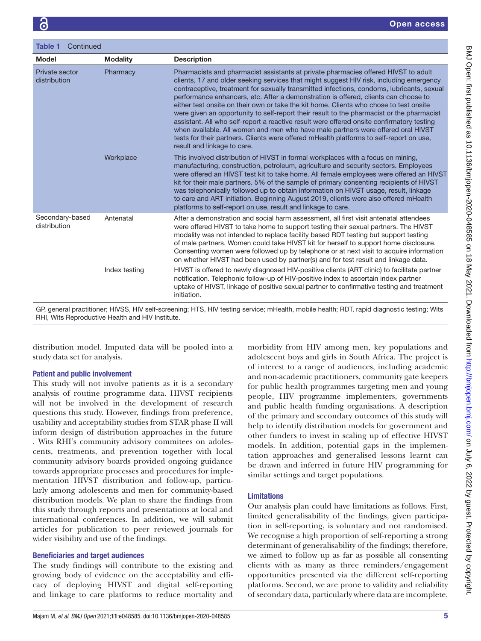| Continued<br><b>Table 1</b>     |                 |                                                                                                                                                                                                                                                                                                                                                                                                                                                                                                                                                                                                                                                                                                                                                                                                                                                                     |  |
|---------------------------------|-----------------|---------------------------------------------------------------------------------------------------------------------------------------------------------------------------------------------------------------------------------------------------------------------------------------------------------------------------------------------------------------------------------------------------------------------------------------------------------------------------------------------------------------------------------------------------------------------------------------------------------------------------------------------------------------------------------------------------------------------------------------------------------------------------------------------------------------------------------------------------------------------|--|
| <b>Model</b>                    | <b>Modality</b> | <b>Description</b>                                                                                                                                                                                                                                                                                                                                                                                                                                                                                                                                                                                                                                                                                                                                                                                                                                                  |  |
| Private sector<br>distribution  | Pharmacy        | Pharmacists and pharmacist assistants at private pharmacies offered HIVST to adult<br>clients, 17 and older seeking services that might suggest HIV risk, including emergency<br>contraceptive, treatment for sexually transmitted infections, condoms, lubricants, sexual<br>performance enhancers, etc. After a demonstration is offered, clients can choose to<br>either test onsite on their own or take the kit home. Clients who chose to test onsite<br>were given an opportunity to self-report their result to the pharmacist or the pharmacist<br>assistant. All who self-report a reactive result were offered onsite confirmatory testing<br>when available. All women and men who have male partners were offered oral HIVST<br>tests for their partners. Clients were offered mHealth platforms to self-report on use,<br>result and linkage to care. |  |
|                                 | Workplace       | This involved distribution of HIVST in formal workplaces with a focus on mining,<br>manufacturing, construction, petroleum, agriculture and security sectors. Employees<br>were offered an HIVST test kit to take home. All female employees were offered an HIVST<br>kit for their male partners. 5% of the sample of primary consenting recipients of HIVST<br>was telephonically followed up to obtain information on HIVST usage, result, linkage<br>to care and ART initiation. Beginning August 2019, clients were also offered mHealth<br>platforms to self-report on use, result and linkage to care.                                                                                                                                                                                                                                                       |  |
| Secondary-based<br>distribution | Antenatal       | After a demonstration and social harm assessment, all first visit antenatal attendees<br>were offered HIVST to take home to support testing their sexual partners. The HIVST<br>modality was not intended to replace facility based RDT testing but support testing<br>of male partners. Women could take HIVST kit for herself to support home disclosure.<br>Consenting women were followed up by telephone or at next visit to acquire information<br>on whether HIVST had been used by partner(s) and for test result and linkage data.                                                                                                                                                                                                                                                                                                                         |  |
|                                 | Index testing   | HIVST is offered to newly diagnosed HIV-positive clients (ART clinic) to facilitate partner<br>notification. Telephonic follow-up of HIV-positive index to ascertain index partner<br>uptake of HIVST, linkage of positive sexual partner to confirmative testing and treatment<br>initiation.                                                                                                                                                                                                                                                                                                                                                                                                                                                                                                                                                                      |  |

GP, general practitioner; HIVSS, HIV self-screening; HTS, HIV testing service; mHealth, mobile health; RDT, rapid diagnostic testing; Wits RHI, Wits Reproductive Health and HIV Institute.

distribution model. Imputed data will be pooled into a study data set for analysis.

## Patient and public involvement

This study will not involve patients as it is a secondary analysis of routine programme data. HIVST recipients will not be involved in the development of research questions this study. However, findings from preference, usability and acceptability studies from STAR phase II will inform design of distribution approaches in the future . Wits RHI's community advisory commitees on adolescents, treatments, and prevention together with local community advisory boards provided ongoing guidance towards appropriate processes and procedures for implementation HIVST distribution and follow-up, particularly among adolescents and men for community-based distribution models. We plan to share the findings from this study through reports and presentations at local and international conferences. In addition, we will submit articles for publication to peer reviewed journals for wider visibility and use of the findings.

## Beneficiaries and target audiences

The study findings will contribute to the existing and growing body of evidence on the acceptability and efficacy of deploying HIVST and digital self-reporting and linkage to care platforms to reduce mortality and

morbidity from HIV among men, key populations and adolescent boys and girls in South Africa. The project is of interest to a range of audiences, including academic and non-academic practitioners, community gate keepers for public health programmes targeting men and young people, HIV programme implementers, governments and public health funding organisations. A description of the primary and secondary outcomes of this study will help to identify distribution models for government and other funders to invest in scaling up of effective HIVST models. In addition, potential gaps in the implementation approaches and generalised lessons learnt can be drawn and inferred in future HIV programming for similar settings and target populations.

## Limitations

Our analysis plan could have limitations as follows. First, limited generalisability of the findings, given participation in self-reporting, is voluntary and not randomised. We recognise a high proportion of self-reporting a strong determinant of generalisability of the findings; therefore, we aimed to follow up as far as possible all consenting clients with as many as three reminders/engagement opportunities presented via the different self-reporting platforms. Second, we are prone to validity and reliability of secondary data, particularly where data are incomplete.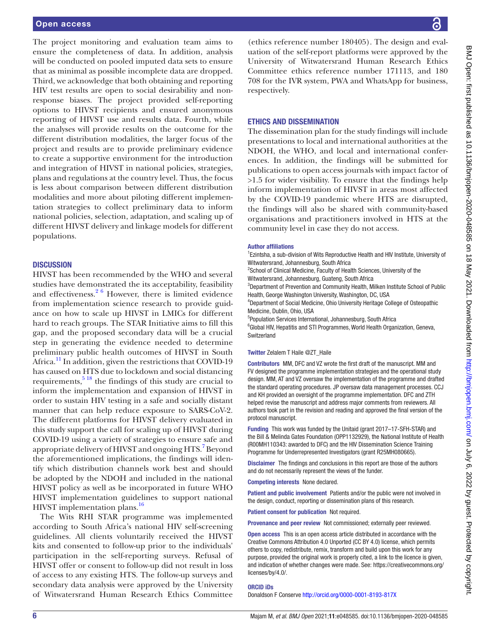### Open access

The project monitoring and evaluation team aims to ensure the completeness of data. In addition, analysis will be conducted on pooled imputed data sets to ensure that as minimal as possible incomplete data are dropped. Third, we acknowledge that both obtaining and reporting HIV test results are open to social desirability and nonresponse biases. The project provided self-reporting options to HIVST recipients and ensured anonymous reporting of HIVST use and results data. Fourth, while the analyses will provide results on the outcome for the different distribution modalities, the larger focus of the project and results are to provide preliminary evidence to create a supportive environment for the introduction and integration of HIVST in national policies, strategies, plans and regulations at the country level. Thus, the focus is less about comparison between different distribution modalities and more about piloting different implementation strategies to collect preliminary data to inform national policies, selection, adaptation, and scaling up of different HIVST delivery and linkage models for different populations.

## **DISCUSSION**

HIVST has been recommended by the WHO and several studies have demonstrated the its acceptability, feasibility and effectiveness. $2^6$  However, there is limited evidence from implementation science research to provide guidance on how to scale up HIVST in LMICs for different hard to reach groups. The STAR Initiative aims to fill this gap, and the proposed secondary data will be a crucial step in generating the evidence needed to determine preliminary public health outcomes of HIVST in South Africa.<sup>11</sup> In addition, given the restrictions that COVID-19 has caused on HTS due to lockdown and social distancing requirements,  $5^{18}$  the findings of this study are crucial to inform the implementation and expansion of HIVST in order to sustain HIV testing in a safe and socially distant manner that can help reduce exposure to SARS-CoV-2. The different platforms for HIVST delivery evaluated in this study support the call for scaling up of HIVST during COVID-19 using a variety of strategies to ensure safe and appropriate delivery of HIVST and ongoing HTS.<sup>[7](#page-6-14)</sup> Beyond the aforementioned implications, the findings will identify which distribution channels work best and should be adopted by the NDOH and included in the national HIVST policy as well as be incorporated in future WHO HIVST implementation guidelines to support national HIVST implementation plans.<sup>16</sup>

The Wits RHI STAR programme was implemented according to South Africa's national HIV self-screening guidelines. All clients voluntarily received the HIVST kits and consented to follow-up prior to the individuals' participation in the self-reporting surveys. Refusal of HIVST offer or consent to follow-up did not result in loss of access to any existing HTS. The follow-up surveys and secondary data analysis were approved by the University of Witwatersrand Human Research Ethics Committee

(ethics reference number 180405). The design and evaluation of the self-report platforms were approved by the University of Witwatersrand Human Research Ethics Committee ethics reference number 171113, and 180 708 for the IVR system, PWA and WhatsApp for business, respectively.

## ETHICS AND DISSEMINATION

The dissemination plan for the study findings will include presentations to local and international authorities at the NDOH, the WHO, and local and international conferences. In addition, the findings will be submitted for publications to open access journals with impact factor of >1.5 for wider visibility. To ensure that the findings help inform implementation of HIVST in areas most affected by the COVID-19 pandemic where HTS are disrupted, the findings will also be shared with community-based organisations and practitioners involved in HTS at the community level in case they do not access.

#### Author affiliations

<sup>1</sup> Ezintsha, a sub-division of Wits Reproductive Health and HIV Institute, University of Witwatersrand, Johannesburg, South Africa

<sup>2</sup>School of Clinical Medicine, Faculty of Health Sciences, University of the Witwatersrand, Johannesburg, Guateng, South Africa

<sup>3</sup>Department of Prevention and Community Health, Milken Institute School of Public Health, George Washington University, Washington, DC, USA

4 Department of Social Medicine, Ohio University Heritage College of Osteopathic Medicine, Dublin, Ohio, USA

5 Population Services International, Johannesburg, South Africa

<sup>6</sup>Global HIV, Hepatitis and STI Programmes, World Health Organization, Geneva, Switzerland

#### Twitter Zelalem T Haile [@ZT\\_Haile](https://twitter.com/ZT_Haile)

Contributors MM, DFC and VZ wrote the first draft of the manuscript. MM and FV designed the programme implementation strategies and the operational study design. MM, AT and VZ oversaw the implementation of the programme and drafted the standard operating procedures. JP oversaw data management processes. CCJ and KH provided an oversight of the programme implementation. DFC and ZTH helped revise the manuscript and address major comments from reviewers. All authors took part in the revision and reading and approved the final version of the protocol manuscript.

Funding This work was funded by the Unitaid (grant 2017–17-SFH-STAR) and the Bill & Melinda Gates Foundation (OPP1132929), the National Institute of Health (R00MH110343: awarded to DFC) and the HIV Dissemination Science Training Programme for Underrepresented Investigators (grant R25MH080665).

Disclaimer The findings and conclusions in this report are those of the authors and do not necessarily represent the views of the funder.

Competing interests None declared.

Patient and public involvement Patients and/or the public were not involved in the design, conduct, reporting or dissemination plans of this research.

Patient consent for publication Not required.

Provenance and peer review Not commissioned; externally peer reviewed.

Open access This is an open access article distributed in accordance with the Creative Commons Attribution 4.0 Unported (CC BY 4.0) license, which permits others to copy, redistribute, remix, transform and build upon this work for any purpose, provided the original work is properly cited, a link to the licence is given, and indication of whether changes were made. See: [https://creativecommons.org/](https://creativecommons.org/licenses/by/4.0/) [licenses/by/4.0/](https://creativecommons.org/licenses/by/4.0/).

## ORCID iDs

Donaldson F Conserve <http://orcid.org/0000-0001-8193-817X>